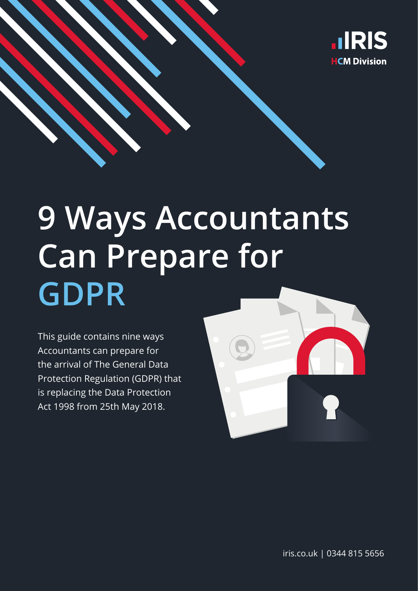

# **9 Ways Accountants Can Prepare for GDPR**

This guide contains nine ways Accountants can prepare for the arrival of The General Data Protection Regulation (GDPR) that is replacing the Data Protection Act 1998 from 25th May 2018.



iris.co.uk | 0344 815 5656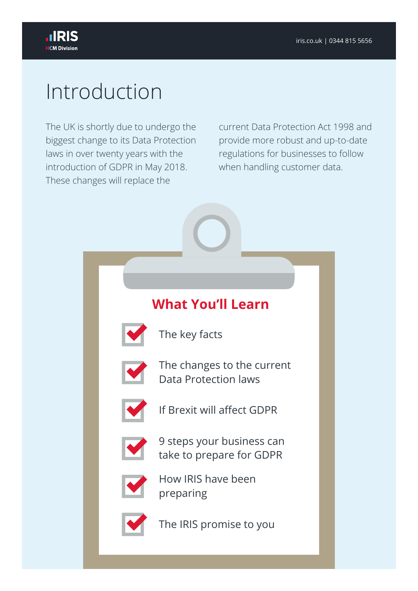# Introduction

The UK is shortly due to undergo the biggest change to its Data Protection laws in over twenty years with the introduction of GDPR in May 2018. These changes will replace the

current Data Protection Act 1998 and provide more robust and up-to-date regulations for businesses to follow when handling customer data.

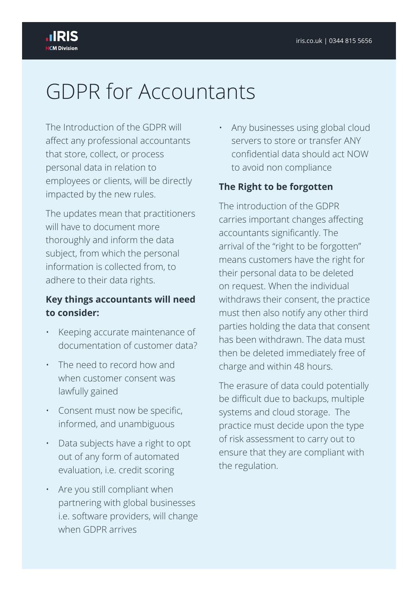# GDPR for Accountants

The Introduction of the GDPR will affect any professional accountants that store, collect, or process personal data in relation to employees or clients, will be directly impacted by the new rules.

The updates mean that practitioners will have to document more thoroughly and inform the data subject, from which the personal information is collected from, to adhere to their data rights.

#### **Key things accountants will need to consider:**

- Keeping accurate maintenance of documentation of customer data?
- The need to record how and when customer consent was lawfully gained
- Consent must now be specific, informed, and unambiguous
- Data subjects have a right to opt out of any form of automated evaluation, i.e. credit scoring
- Are you still compliant when partnering with global businesses i.e. software providers, will change when GDPR arrives

• Any businesses using global cloud servers to store or transfer ANY confidential data should act NOW to avoid non compliance

#### **The Right to be forgotten**

The introduction of the GDPR carries important changes affecting accountants significantly. The arrival of the "right to be forgotten" means customers have the right for their personal data to be deleted on request. When the individual withdraws their consent, the practice must then also notify any other third parties holding the data that consent has been withdrawn. The data must then be deleted immediately free of charge and within 48 hours.

The erasure of data could potentially be difficult due to backups, multiple systems and cloud storage. The practice must decide upon the type of risk assessment to carry out to ensure that they are compliant with the regulation.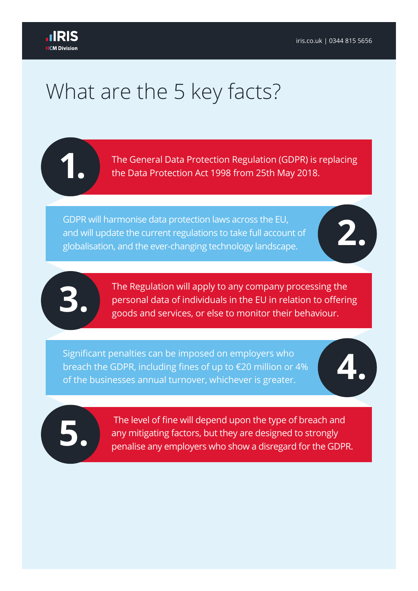# What are the 5 key facts?

**1.** The General Data Protection Regulation (GDPR) is replacing the Data Protection Act 1998 from 25th May 2018.

GDPR will harmonise data protection laws across the EU,<br>and will update the current regulations to take full account of<br>globalisation, and the ever-changing technology landscape. and will update the current regulations to take full account of

The Regulation will apply to any company processing the personal data of individuals in the EU in relation to offerir goods and services, or else to monitor their behaviour. personal data of individuals in the EU in relation to offering goods and services, or else to monitor their behaviour.

Significant penalties can be imposed on employers who<br>breach the GDPR, including fines of up to €20 million or 4%<br>of the businesses annual turnover, whichever is greater. breach the GDPR, including fines of up to €20 million or 4% of the businesses annual turnover, whichever is greater.

The level of fine will depend upon the type of breach and<br>any mitigating factors, but they are designed to strongly<br>penalise any employers who show a disregard for the GDPI any mitigating factors, but they are designed to strongly penalise any employers who show a disregard for the GDPR.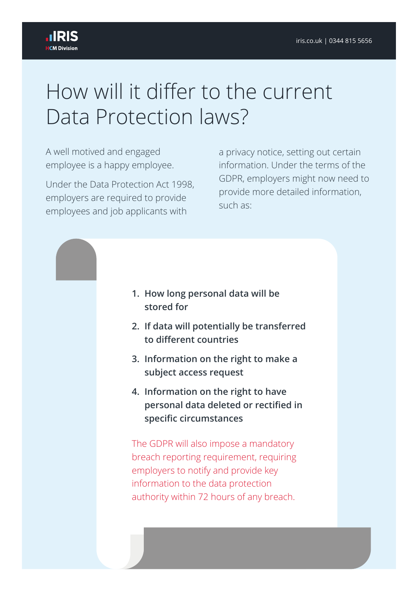# How will it differ to the current Data Protection laws?

A well motived and engaged employee is a happy employee.

Under the Data Protection Act 1998, employers are required to provide employees and job applicants with

a privacy notice, setting out certain information. Under the terms of the GDPR, employers might now need to provide more detailed information, such as:



- **2. If data will potentially be transferred to different countries**
- **3. Information on the right to make a subject access request**
- **4. Information on the right to have personal data deleted or rectified in specific circumstances**

The GDPR will also impose a mandatory breach reporting requirement, requiring employers to notify and provide key information to the data protection authority within 72 hours of any breach.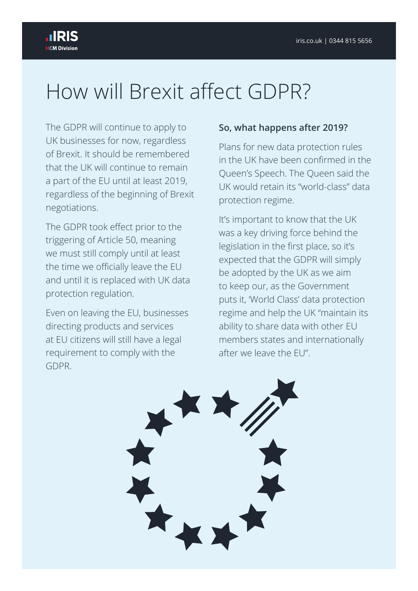# How will Brexit affect GDPR?

The GDPR will continue to apply to UK businesses for now, regardless of Brexit. It should be remembered that the UK will continue to remain a part of the EU until at least 2019, regardless of the beginning of Brexit negotiations.

The GDPR took effect prior to the triggering of Article 50, meaning we must still comply until at least the time we officially leave the EU and until it is replaced with UK data protection regulation.

Even on leaving the EU, businesses directing products and services at EU citizens will still have a legal requirement to comply with the GDPR.

#### **So, what happens after 2019?**

Plans for new data protection rules in the UK have been confirmed in the Queen's Speech. The Queen said the UK would retain its "world-class" data protection regime.

It's important to know that the UK was a key driving force behind the legislation in the first place, so it's expected that the GDPR will simply be adopted by the UK as we aim to keep our, as the Government puts it, 'World Class' data protection regime and help the UK "maintain its ability to share data with other EU members states and internationally after we leave the EU".

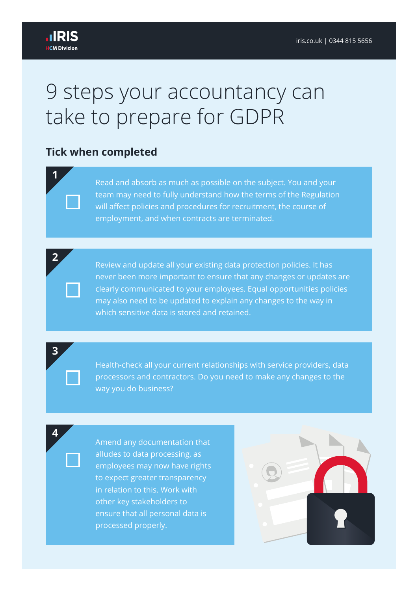**1**

**2**

**3**

**4**

### 9 steps your accountancy can take to prepare for GDPR

### **Tick when completed**

Read and absorb as much as possible on the subject. You and your team may need to fully understand how the terms of the Regulation will affect policies and procedures for recruitment, the course of employment, and when contracts are terminated.

Review and update all your existing data protection policies. It has never been more important to ensure that any changes or updates are clearly communicated to your employees. Equal opportunities policies may also need to be updated to explain any changes to the way in which sensitive data is stored and retained.

Health-check all your current relationships with service providers, data processors and contractors. Do you need to make any changes to the way you do business?

Amend any documentation that alludes to data processing, as employees may now have rights to expect greater transparency in relation to this. Work with other key stakeholders to ensure that all personal data is processed properly.

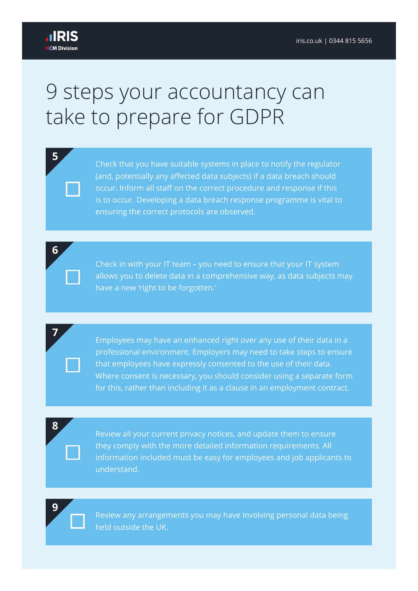**5**

**6**

**7**

# 9 steps your accountancy can take to prepare for GDPR

Check that you have suitable systems in place to notify the regulator (and, potentially any affected data subjects) if a data breach should occur. Inform all staff on the correct procedure and response if this is to occur. Developing a data breach response programme is vital to ensuring the correct protocols are observed.

Check in with your IT team – you need to ensure that your IT system allows you to delete data in a comprehensive way, as data subjects may have a new 'right to be forgotten.'

Employees may have an enhanced right over any use of their data in a professional environment. Employers may need to take steps to ensure that employees have expressly consented to the use of their data. Where consent is necessary, you should consider using a separate form for this, rather than including it as a clause in an employment contract.

**8**

Review all your current privacy notices, and update them to ensure they comply with the more detailed information requirements. All information included must be easy for employees and job applicants to understand.

**9**

Review any arrangements you may have involving personal data being held outside the UK.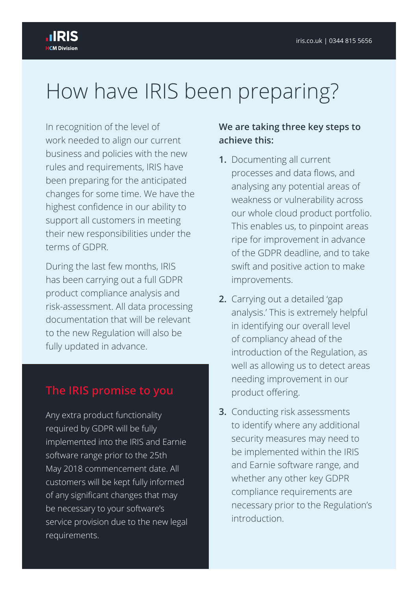# How have IRIS been preparing?

In recognition of the level of work needed to align our current business and policies with the new rules and requirements, IRIS have been preparing for the anticipated changes for some time. We have the highest confidence in our ability to support all customers in meeting their new responsibilities under the terms of GDPR.

During the last few months, IRIS has been carrying out a full GDPR product compliance analysis and risk-assessment. All data processing documentation that will be relevant to the new Regulation will also be fully updated in advance.

### **The IRIS promise to you**

Any extra product functionality required by GDPR will be fully implemented into the IRIS and Earnie software range prior to the 25th May 2018 commencement date. All customers will be kept fully informed of any significant changes that may be necessary to your software's service provision due to the new legal requirements.

#### **We are taking three key steps to achieve this:**

- **1.** Documenting all current processes and data flows, and analysing any potential areas of weakness or vulnerability across our whole cloud product portfolio. This enables us, to pinpoint areas ripe for improvement in advance of the GDPR deadline, and to take swift and positive action to make improvements.
- **2.** Carrying out a detailed 'gap analysis.' This is extremely helpful in identifying our overall level of compliancy ahead of the introduction of the Regulation, as well as allowing us to detect areas needing improvement in our product offering.
- **3.** Conducting risk assessments to identify where any additional security measures may need to be implemented within the IRIS and Earnie software range, and whether any other key GDPR compliance requirements are necessary prior to the Regulation's introduction.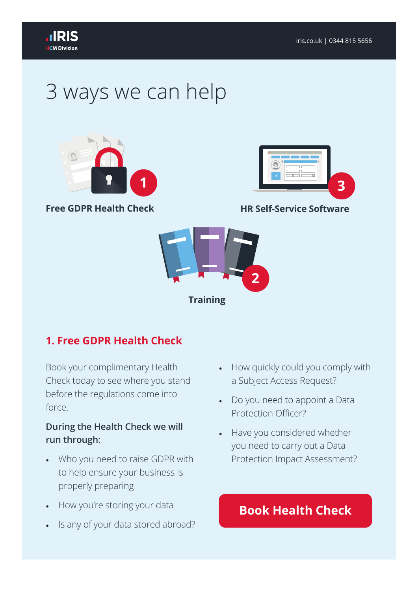

# 3 ways we can help



**Free GDPR Health Check**



#### **HR Self-Service Software**



### **1. Free GDPR Health Check**

Book your complimentary Health Check today to see where you stand before the regulations come into force.

#### **During the Health Check we will run through:**

- Who you need to raise GDPR with to help ensure your business is properly preparing
- How you're storing your data
- Is any of your data stored abroad?
- How quickly could you comply with a Subject Access Request?
- Do you need to appoint a Data Protection Officer?
- Have you considered whether you need to carry out a Data Protection Impact Assessment?

### **Book Health Check**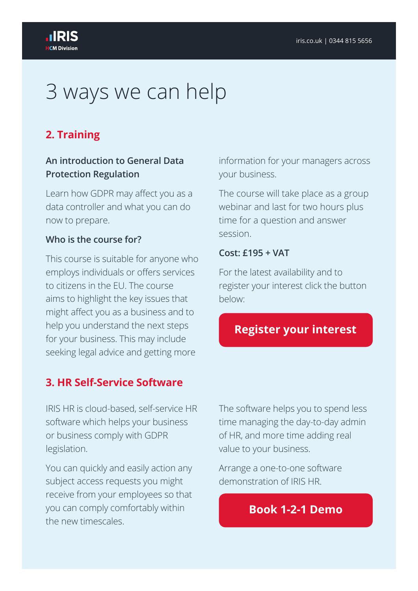# 3 ways we can help

### **2. Training**

#### **An introduction to General Data Protection Regulation**

Learn how GDPR may affect you as a data controller and what you can do now to prepare.

#### **Who is the course for?**

This course is suitable for anyone who employs individuals or offers services to citizens in the EU. The course aims to highlight the key issues that might affect you as a business and to help you understand the next steps for your business. This may include seeking legal advice and getting more

#### **3. HR Self-Service Software**

IRIS HR is cloud-based, self-service HR software which helps your business or business comply with GDPR legislation.

You can quickly and easily action any subject access requests you might receive from your employees so that you can comply comfortably within the new timescales.

information for your managers across your business.

The course will take place as a group webinar and last for two hours plus time for a question and answer session.

#### **Cost: £195 + VAT**

For the latest availability and to register your interest click the button below:

### **Register your interest**

The software helps you to spend less time managing the day-to-day admin of HR, and more time adding real value to your business.

Arrange a one-to-one software demonstration of IRIS HR.

### **Book 1-2-1 Demo**